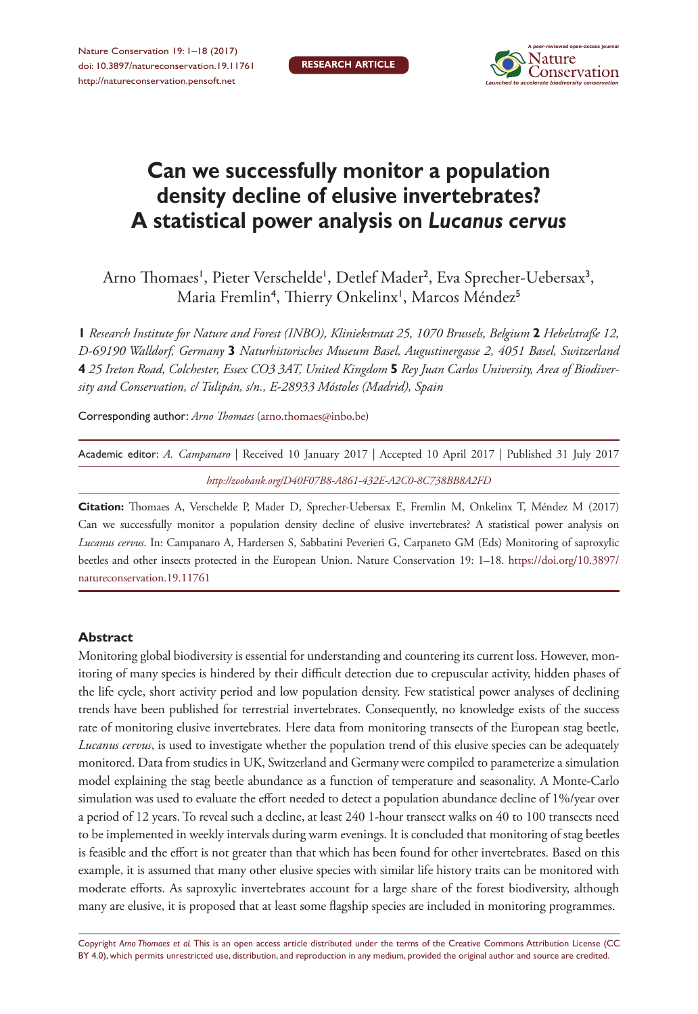Nature Conservation 19: 1–18 (2017) [doi: 10.3897/natureconservation.19.11761](https://doi.org/10.3897/natureconservation.19.11761) <http://natureconservation.pensoft.net>



# **Can we successfully monitor a population density decline of elusive invertebrates? A statistical power analysis on** *Lucanus cervus*

Arno Thomaes', Pieter Verschelde', Detlef Mader<sup>2</sup>, Eva Sprecher-Uebersax<sup>3</sup>, Maria Fremlin<sup>4</sup>, Thierry Onkelinx', Marcos Méndez<sup>5</sup>

**1** *Research Institute for Nature and Forest (INBO), Kliniekstraat 25, 1070 Brussels, Belgium* **2** *Hebelstraße 12, D-69190 Walldorf, Germany* **3** *Naturhistorisches Museum Basel, Augustinergasse 2, 4051 Basel, Switzerland*  **4** *25 Ireton Road, Colchester, Essex CO3 3AT, United Kingdom* **5** *Rey Juan Carlos University, Area of Biodiversity and Conservation, c/ Tulipán, s/n., E-28933 Móstoles (Madrid), Spain*

Corresponding author: *Arno Thomaes* ([arno.thomaes@inbo.be](mailto:arno.thomaes@inbo.be))

|  |  |  |  | Academic editor: A. Campanaro   Received 10 January 2017   Accepted 10 April 2017   Published 31 July 2017 |  |
|--|--|--|--|------------------------------------------------------------------------------------------------------------|--|
|  |  |  |  |                                                                                                            |  |

*<http://zoobank.org/D40F07B8-A861-432E-A2C0-8C738BB8A2FD>*

**Citation:** Thomaes A, Verschelde P, Mader D, Sprecher-Uebersax E, Fremlin M, Onkelinx T, Méndez M (2017) Can we successfully monitor a population density decline of elusive invertebrates? A statistical power analysis on *Lucanus cervus*. In: Campanaro A, Hardersen S, Sabbatini Peverieri G, Carpaneto GM (Eds) Monitoring of saproxylic beetles and other insects protected in the European Union. Nature Conservation 19: 1–18. [https://doi.org/10.3897/](https://doi.org/10.3897/natureconservation.19.11761) [natureconservation.19.11761](https://doi.org/10.3897/natureconservation.19.11761)

#### **Abstract**

Monitoring global biodiversity is essential for understanding and countering its current loss. However, monitoring of many species is hindered by their difficult detection due to crepuscular activity, hidden phases of the life cycle, short activity period and low population density. Few statistical power analyses of declining trends have been published for terrestrial invertebrates. Consequently, no knowledge exists of the success rate of monitoring elusive invertebrates. Here data from monitoring transects of the European stag beetle, *Lucanus cervus*, is used to investigate whether the population trend of this elusive species can be adequately monitored. Data from studies in UK, Switzerland and Germany were compiled to parameterize a simulation model explaining the stag beetle abundance as a function of temperature and seasonality. A Monte-Carlo simulation was used to evaluate the effort needed to detect a population abundance decline of 1%/year over a period of 12 years. To reveal such a decline, at least 240 1-hour transect walks on 40 to 100 transects need to be implemented in weekly intervals during warm evenings. It is concluded that monitoring of stag beetles is feasible and the effort is not greater than that which has been found for other invertebrates. Based on this example, it is assumed that many other elusive species with similar life history traits can be monitored with moderate efforts. As saproxylic invertebrates account for a large share of the forest biodiversity, although many are elusive, it is proposed that at least some flagship species are included in monitoring programmes.

Copyright *Arno Thomaes et al.* This is an open access article distributed under the terms of the [Creative Commons Attribution License \(CC](http://creativecommons.org/licenses/by/4.0/)  [BY 4.0\)](http://creativecommons.org/licenses/by/4.0/), which permits unrestricted use, distribution, and reproduction in any medium, provided the original author and source are credited.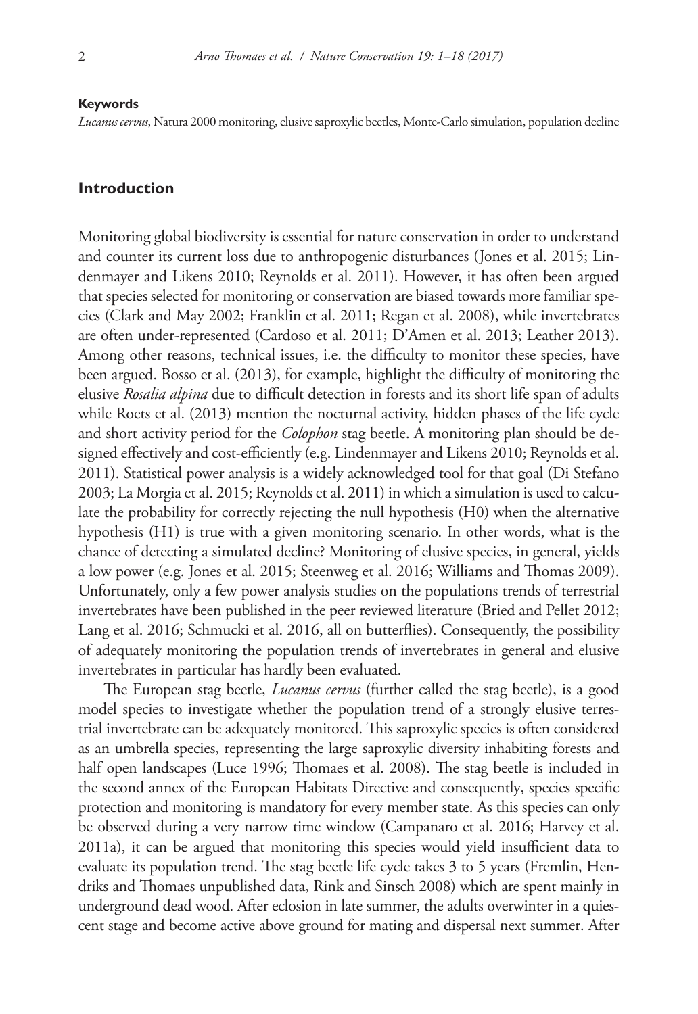#### **Keywords**

*Lucanus cervus*, Natura 2000 monitoring, elusive saproxylic beetles, Monte-Carlo simulation, population decline

### **Introduction**

Monitoring global biodiversity is essential for nature conservation in order to understand and counter its current loss due to anthropogenic disturbances (Jones et al. 2015; Lindenmayer and Likens 2010; Reynolds et al. 2011). However, it has often been argued that species selected for monitoring or conservation are biased towards more familiar species (Clark and May 2002; Franklin et al. 2011; Regan et al. 2008), while invertebrates are often under-represented (Cardoso et al. 2011; D'Amen et al. 2013; Leather 2013). Among other reasons, technical issues, i.e. the difficulty to monitor these species, have been argued. Bosso et al. (2013), for example, highlight the difficulty of monitoring the elusive *Rosalia alpina* due to difficult detection in forests and its short life span of adults while Roets et al. (2013) mention the nocturnal activity, hidden phases of the life cycle and short activity period for the *Colophon* stag beetle. A monitoring plan should be designed effectively and cost-efficiently (e.g. Lindenmayer and Likens 2010; Reynolds et al. 2011). Statistical power analysis is a widely acknowledged tool for that goal (Di Stefano 2003; La Morgia et al. 2015; Reynolds et al. 2011) in which a simulation is used to calculate the probability for correctly rejecting the null hypothesis (H0) when the alternative hypothesis (H1) is true with a given monitoring scenario. In other words, what is the chance of detecting a simulated decline? Monitoring of elusive species, in general, yields a low power (e.g. Jones et al. 2015; Steenweg et al. 2016; Williams and Thomas 2009). Unfortunately, only a few power analysis studies on the populations trends of terrestrial invertebrates have been published in the peer reviewed literature (Bried and Pellet 2012; Lang et al. 2016; Schmucki et al. 2016, all on butterflies). Consequently, the possibility of adequately monitoring the population trends of invertebrates in general and elusive invertebrates in particular has hardly been evaluated.

The European stag beetle, *Lucanus cervus* (further called the stag beetle), is a good model species to investigate whether the population trend of a strongly elusive terrestrial invertebrate can be adequately monitored. This saproxylic species is often considered as an umbrella species, representing the large saproxylic diversity inhabiting forests and half open landscapes (Luce 1996; Thomaes et al. 2008). The stag beetle is included in the second annex of the European Habitats Directive and consequently, species specific protection and monitoring is mandatory for every member state. As this species can only be observed during a very narrow time window (Campanaro et al. 2016; Harvey et al. 2011a), it can be argued that monitoring this species would yield insufficient data to evaluate its population trend. The stag beetle life cycle takes 3 to 5 years (Fremlin, Hendriks and Thomaes unpublished data, Rink and Sinsch 2008) which are spent mainly in underground dead wood. After eclosion in late summer, the adults overwinter in a quiescent stage and become active above ground for mating and dispersal next summer. After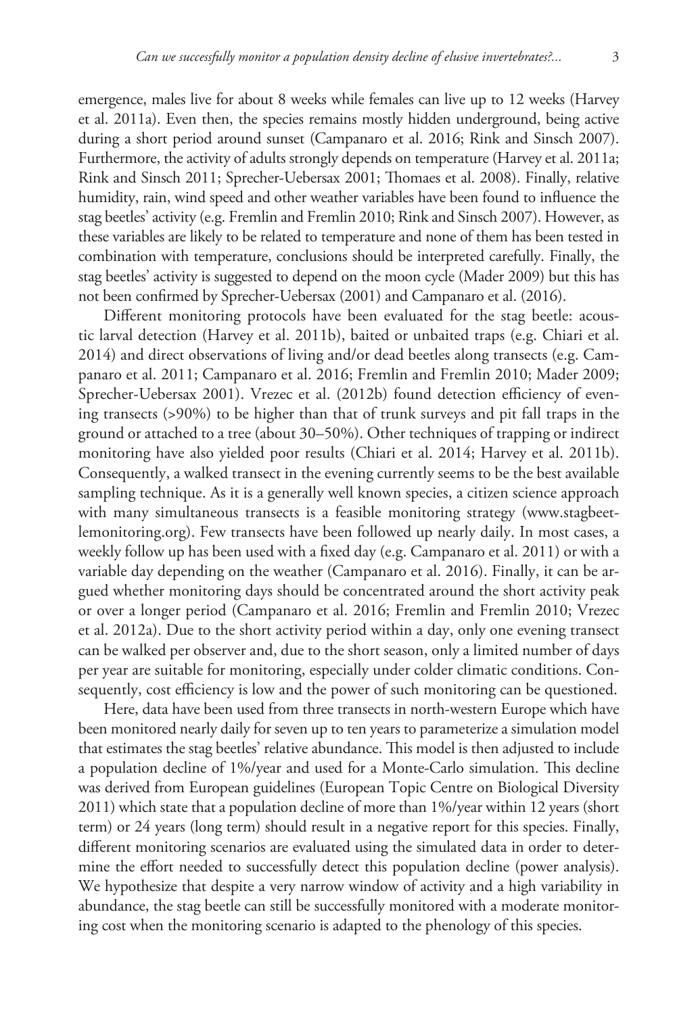emergence, males live for about 8 weeks while females can live up to 12 weeks (Harvey et al. 2011a). Even then, the species remains mostly hidden underground, being active during a short period around sunset (Campanaro et al. 2016; Rink and Sinsch 2007). Furthermore, the activity of adults strongly depends on temperature (Harvey et al. 2011a; Rink and Sinsch 2011; Sprecher-Uebersax 2001; Thomaes et al. 2008). Finally, relative humidity, rain, wind speed and other weather variables have been found to influence the stag beetles' activity (e.g. Fremlin and Fremlin 2010; Rink and Sinsch 2007). However, as these variables are likely to be related to temperature and none of them has been tested in combination with temperature, conclusions should be interpreted carefully. Finally, the stag beetles' activity is suggested to depend on the moon cycle (Mader 2009) but this has not been confirmed by Sprecher-Uebersax (2001) and Campanaro et al. (2016).

Different monitoring protocols have been evaluated for the stag beetle: acoustic larval detection (Harvey et al. 2011b), baited or unbaited traps (e.g. Chiari et al. 2014) and direct observations of living and/or dead beetles along transects (e.g. Campanaro et al. 2011; Campanaro et al. 2016; Fremlin and Fremlin 2010; Mader 2009; Sprecher-Uebersax 2001). Vrezec et al. (2012b) found detection efficiency of evening transects (>90%) to be higher than that of trunk surveys and pit fall traps in the ground or attached to a tree (about 30–50%). Other techniques of trapping or indirect monitoring have also yielded poor results (Chiari et al. 2014; Harvey et al. 2011b). Consequently, a walked transect in the evening currently seems to be the best available sampling technique. As it is a generally well known species, a citizen science approach with many simultaneous transects is a feasible monitoring strategy [\(www.stagbeet](http://www.stagbeetlemonitoring.org)[lemonitoring.org\)](http://www.stagbeetlemonitoring.org). Few transects have been followed up nearly daily. In most cases, a weekly follow up has been used with a fixed day (e.g. Campanaro et al. 2011) or with a variable day depending on the weather (Campanaro et al. 2016). Finally, it can be argued whether monitoring days should be concentrated around the short activity peak or over a longer period (Campanaro et al. 2016; Fremlin and Fremlin 2010; Vrezec et al. 2012a). Due to the short activity period within a day, only one evening transect can be walked per observer and, due to the short season, only a limited number of days per year are suitable for monitoring, especially under colder climatic conditions. Consequently, cost efficiency is low and the power of such monitoring can be questioned.

Here, data have been used from three transects in north-western Europe which have been monitored nearly daily for seven up to ten years to parameterize a simulation model that estimates the stag beetles' relative abundance. This model is then adjusted to include a population decline of 1%/year and used for a Monte-Carlo simulation. This decline was derived from European guidelines (European Topic Centre on Biological Diversity 2011) which state that a population decline of more than 1%/year within 12 years (short term) or 24 years (long term) should result in a negative report for this species. Finally, different monitoring scenarios are evaluated using the simulated data in order to determine the effort needed to successfully detect this population decline (power analysis). We hypothesize that despite a very narrow window of activity and a high variability in abundance, the stag beetle can still be successfully monitored with a moderate monitoring cost when the monitoring scenario is adapted to the phenology of this species.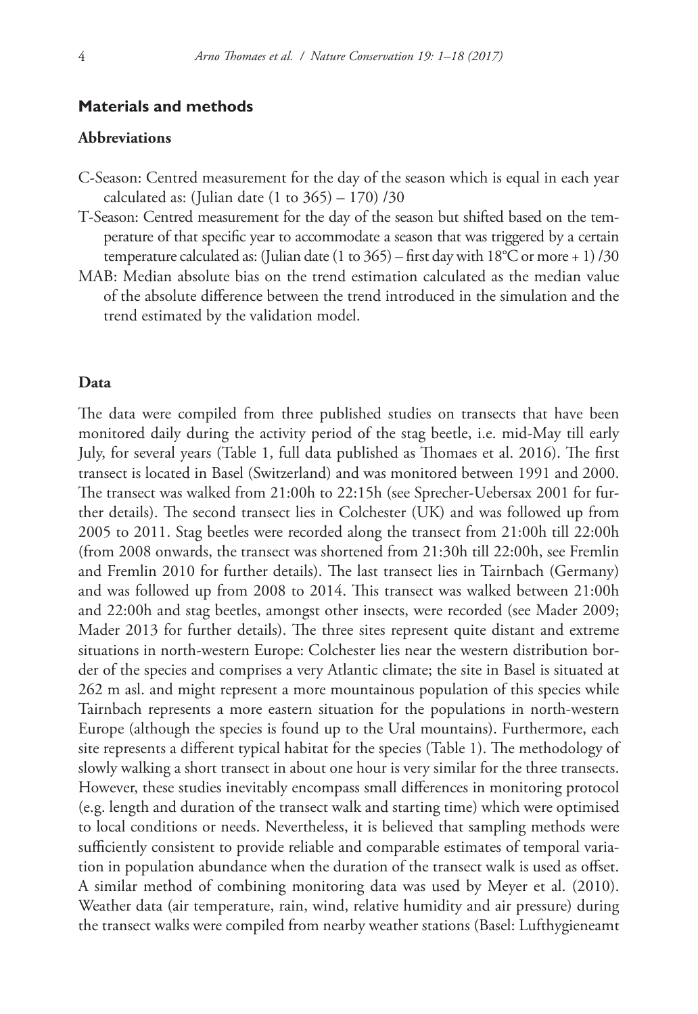### **Materials and methods**

### **Abbreviations**

- C-Season: Centred measurement for the day of the season which is equal in each year calculated as: (Julian date  $(1 \text{ to } 365) - 170$ ) /30
- T-Season: Centred measurement for the day of the season but shifted based on the temperature of that specific year to accommodate a season that was triggered by a certain temperature calculated as: (Julian date (1 to 365) – first day with  $18^{\circ}$ C or more + 1) /30
- MAB: Median absolute bias on the trend estimation calculated as the median value of the absolute difference between the trend introduced in the simulation and the trend estimated by the validation model.

#### **Data**

The data were compiled from three published studies on transects that have been monitored daily during the activity period of the stag beetle, i.e. mid-May till early July, for several years (Table 1, full data published as Thomaes et al. 2016). The first transect is located in Basel (Switzerland) and was monitored between 1991 and 2000. The transect was walked from 21:00h to 22:15h (see Sprecher-Uebersax 2001 for further details). The second transect lies in Colchester (UK) and was followed up from 2005 to 2011. Stag beetles were recorded along the transect from 21:00h till 22:00h (from 2008 onwards, the transect was shortened from 21:30h till 22:00h, see Fremlin and Fremlin 2010 for further details). The last transect lies in Tairnbach (Germany) and was followed up from 2008 to 2014. This transect was walked between 21:00h and 22:00h and stag beetles, amongst other insects, were recorded (see Mader 2009; Mader 2013 for further details). The three sites represent quite distant and extreme situations in north-western Europe: Colchester lies near the western distribution border of the species and comprises a very Atlantic climate; the site in Basel is situated at 262 m asl. and might represent a more mountainous population of this species while Tairnbach represents a more eastern situation for the populations in north-western Europe (although the species is found up to the Ural mountains). Furthermore, each site represents a different typical habitat for the species (Table 1). The methodology of slowly walking a short transect in about one hour is very similar for the three transects. However, these studies inevitably encompass small differences in monitoring protocol (e.g. length and duration of the transect walk and starting time) which were optimised to local conditions or needs. Nevertheless, it is believed that sampling methods were sufficiently consistent to provide reliable and comparable estimates of temporal variation in population abundance when the duration of the transect walk is used as offset. A similar method of combining monitoring data was used by Meyer et al. (2010). Weather data (air temperature, rain, wind, relative humidity and air pressure) during the transect walks were compiled from nearby weather stations (Basel: Lufthygieneamt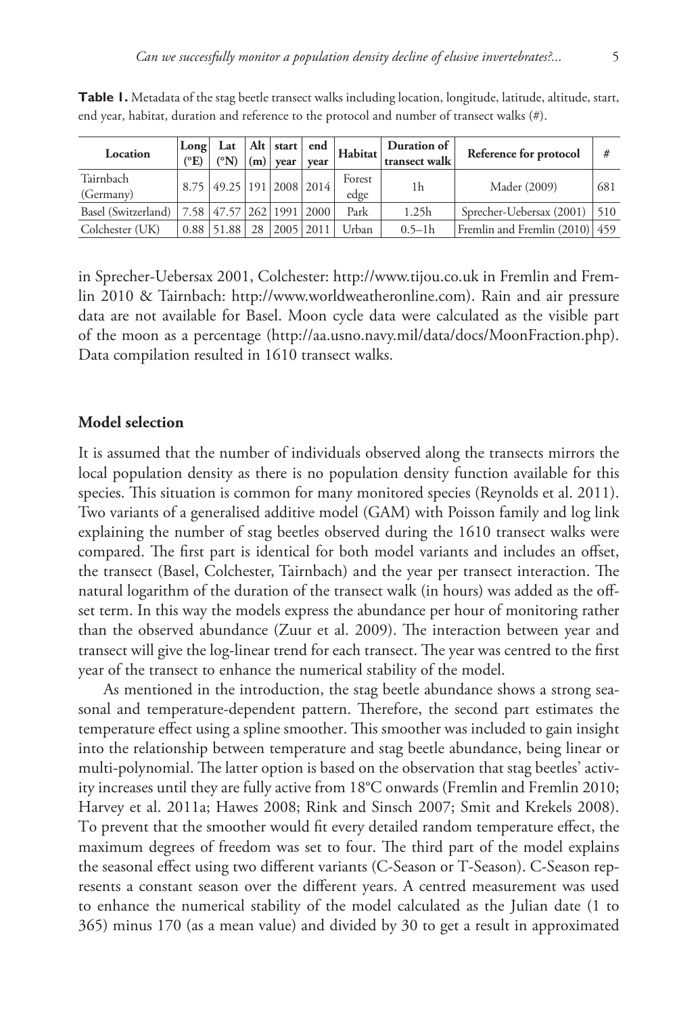| Location               | Long<br>$({}^{\circ}E)$ | Lat<br>$({}^{\circ}N)$    |    | $(m)$ vear | vear          | $\left  \frac{1}{\text{Alt}} \right $ start $\left  \text{ end } \right $ Habitat $\left  \frac{1}{\text{Path}} \right $ | Duration of<br>transect walk | Reference for protocol           | #   |
|------------------------|-------------------------|---------------------------|----|------------|---------------|--------------------------------------------------------------------------------------------------------------------------|------------------------------|----------------------------------|-----|
| Tairnbach<br>(Germany) | 8.75                    | 49.25   191   2008   2014 |    |            |               | Forest<br>edge                                                                                                           | 1h                           | Mader (2009)                     | 681 |
| Basel (Switzerland)    | 58                      | 47.57 262 1991 2000       |    |            |               | Park                                                                                                                     | 1.25h                        | Sprecher-Uebersax $(2001)$   510 |     |
| Colchester (UK)        | 0.88                    | 51.88                     | 28 |            | $2005$   2011 | Urban                                                                                                                    | $0.5 - 1h$                   | Fremlin and Fremlin (2010) 459   |     |

**Table 1.** Metadata of the stag beetle transect walks including location, longitude, latitude, altitude, start, end year, habitat, duration and reference to the protocol and number of transect walks (#).

in Sprecher-Uebersax 2001, Colchester:<http://www.tijou.co.uk> in Fremlin and Fremlin 2010 & Tairnbach: <http://www.worldweatheronline.com>). Rain and air pressure data are not available for Basel. Moon cycle data were calculated as the visible part of the moon as a percentage [\(http://aa.usno.navy.mil/data/docs/MoonFraction.php](http://aa.usno.navy.mil/data/docs/MoonFraction.php)). Data compilation resulted in 1610 transect walks.

#### **Model selection**

It is assumed that the number of individuals observed along the transects mirrors the local population density as there is no population density function available for this species. This situation is common for many monitored species (Reynolds et al. 2011). Two variants of a generalised additive model (GAM) with Poisson family and log link explaining the number of stag beetles observed during the 1610 transect walks were compared. The first part is identical for both model variants and includes an offset, the transect (Basel, Colchester, Tairnbach) and the year per transect interaction. The natural logarithm of the duration of the transect walk (in hours) was added as the offset term. In this way the models express the abundance per hour of monitoring rather than the observed abundance (Zuur et al. 2009). The interaction between year and transect will give the log-linear trend for each transect. The year was centred to the first year of the transect to enhance the numerical stability of the model.

As mentioned in the introduction, the stag beetle abundance shows a strong seasonal and temperature-dependent pattern. Therefore, the second part estimates the temperature effect using a spline smoother. This smoother was included to gain insight into the relationship between temperature and stag beetle abundance, being linear or multi-polynomial. The latter option is based on the observation that stag beetles' activity increases until they are fully active from 18°C onwards (Fremlin and Fremlin 2010; Harvey et al. 2011a; Hawes 2008; Rink and Sinsch 2007; Smit and Krekels 2008). To prevent that the smoother would fit every detailed random temperature effect, the maximum degrees of freedom was set to four. The third part of the model explains the seasonal effect using two different variants (C-Season or T-Season). C-Season represents a constant season over the different years. A centred measurement was used to enhance the numerical stability of the model calculated as the Julian date (1 to 365) minus 170 (as a mean value) and divided by 30 to get a result in approximated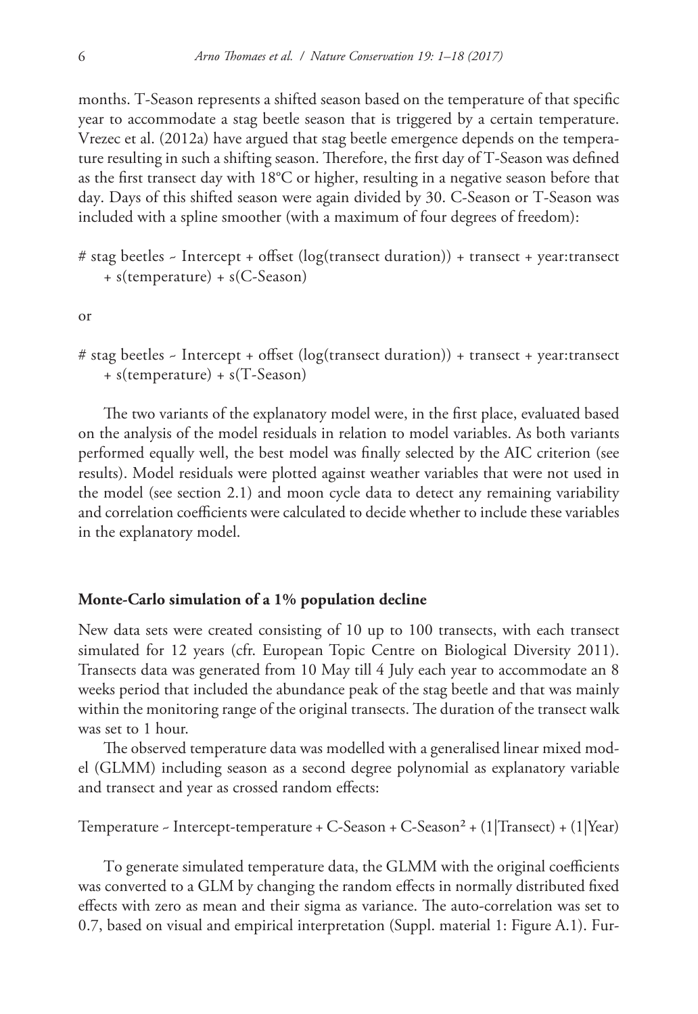months. T-Season represents a shifted season based on the temperature of that specific year to accommodate a stag beetle season that is triggered by a certain temperature. Vrezec et al. (2012a) have argued that stag beetle emergence depends on the temperature resulting in such a shifting season. Therefore, the first day of T-Season was defined as the first transect day with 18°C or higher, resulting in a negative season before that day. Days of this shifted season were again divided by 30. C-Season or T-Season was included with a spline smoother (with a maximum of four degrees of freedom):

# stag beetles ~ Intercept + offset (log(transect duration)) + transect + year:transect + s(temperature) + s(C-Season)

or

# stag beetles ~ Intercept + offset (log(transect duration)) + transect + year:transect + s(temperature) + s(T-Season)

The two variants of the explanatory model were, in the first place, evaluated based on the analysis of the model residuals in relation to model variables. As both variants performed equally well, the best model was finally selected by the AIC criterion (see results). Model residuals were plotted against weather variables that were not used in the model (see section 2.1) and moon cycle data to detect any remaining variability and correlation coefficients were calculated to decide whether to include these variables in the explanatory model.

### **Monte-Carlo simulation of a 1% population decline**

New data sets were created consisting of 10 up to 100 transects, with each transect simulated for 12 years (cfr. European Topic Centre on Biological Diversity 2011). Transects data was generated from 10 May till 4 July each year to accommodate an 8 weeks period that included the abundance peak of the stag beetle and that was mainly within the monitoring range of the original transects. The duration of the transect walk was set to 1 hour.

The observed temperature data was modelled with a generalised linear mixed model (GLMM) including season as a second degree polynomial as explanatory variable and transect and year as crossed random effects:

Temperature ~ Intercept-temperature + C-Season + C-Season² + (1|Transect) + (1|Year)

To generate simulated temperature data, the GLMM with the original coefficients was converted to a GLM by changing the random effects in normally distributed fixed effects with zero as mean and their sigma as variance. The auto-correlation was set to 0.7, based on visual and empirical interpretation (Suppl. material 1: Figure A.1). Fur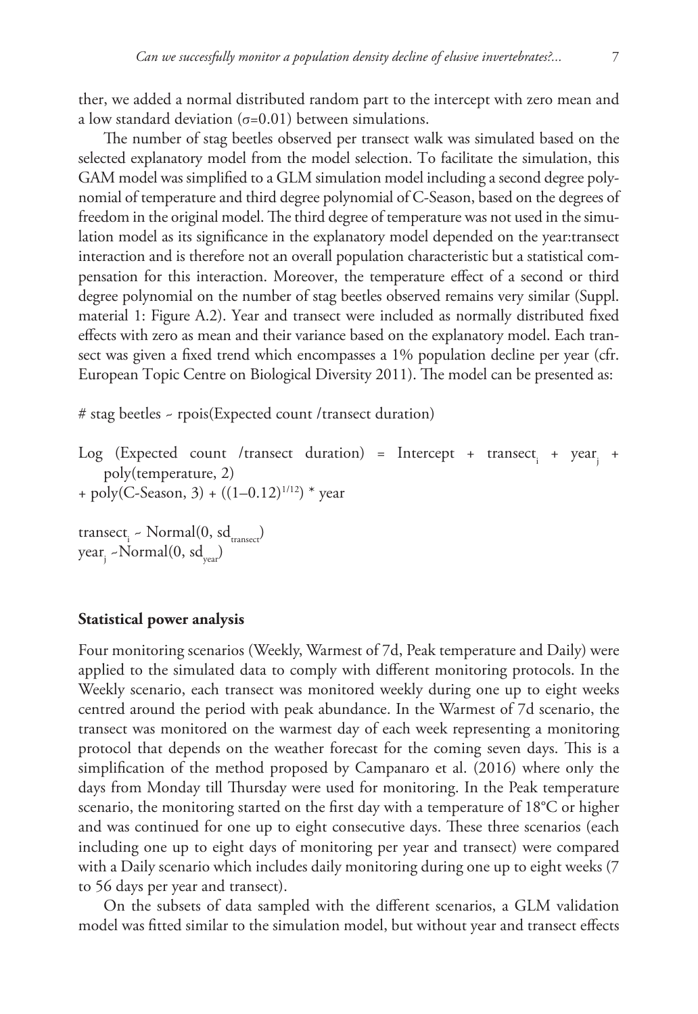ther, we added a normal distributed random part to the intercept with zero mean and a low standard deviation  $(\sigma=0.01)$  between simulations.

The number of stag beetles observed per transect walk was simulated based on the selected explanatory model from the model selection. To facilitate the simulation, this GAM model was simplified to a GLM simulation model including a second degree polynomial of temperature and third degree polynomial of C-Season, based on the degrees of freedom in the original model. The third degree of temperature was not used in the simulation model as its significance in the explanatory model depended on the year:transect interaction and is therefore not an overall population characteristic but a statistical compensation for this interaction. Moreover, the temperature effect of a second or third degree polynomial on the number of stag beetles observed remains very similar (Suppl. material 1: Figure A.2). Year and transect were included as normally distributed fixed effects with zero as mean and their variance based on the explanatory model. Each transect was given a fixed trend which encompasses a 1% population decline per year (cfr. European Topic Centre on Biological Diversity 2011). The model can be presented as:

# stag beetles ~ rpois(Expected count /transect duration)

```
Log (Expected count /transect duration) = Intercept + transect<sub>i</sub> + year<sub>j</sub> +
    poly(temperature, 2)
+ poly(C-Season, 3) + ((1-0.12)^{1/12}) * year
```
 $\text{transect}_{i}$  ~  $\text{Normal}(0, \text{sd}_{\text{transect}})$ year<sub>j</sub> ~Normal(0, sd<sub>year</sub>)

## **Statistical power analysis**

Four monitoring scenarios (Weekly, Warmest of 7d, Peak temperature and Daily) were applied to the simulated data to comply with different monitoring protocols. In the Weekly scenario, each transect was monitored weekly during one up to eight weeks centred around the period with peak abundance. In the Warmest of 7d scenario, the transect was monitored on the warmest day of each week representing a monitoring protocol that depends on the weather forecast for the coming seven days. This is a simplification of the method proposed by Campanaro et al. (2016) where only the days from Monday till Thursday were used for monitoring. In the Peak temperature scenario, the monitoring started on the first day with a temperature of 18°C or higher and was continued for one up to eight consecutive days. These three scenarios (each including one up to eight days of monitoring per year and transect) were compared with a Daily scenario which includes daily monitoring during one up to eight weeks (7 to 56 days per year and transect).

On the subsets of data sampled with the different scenarios, a GLM validation model was fitted similar to the simulation model, but without year and transect effects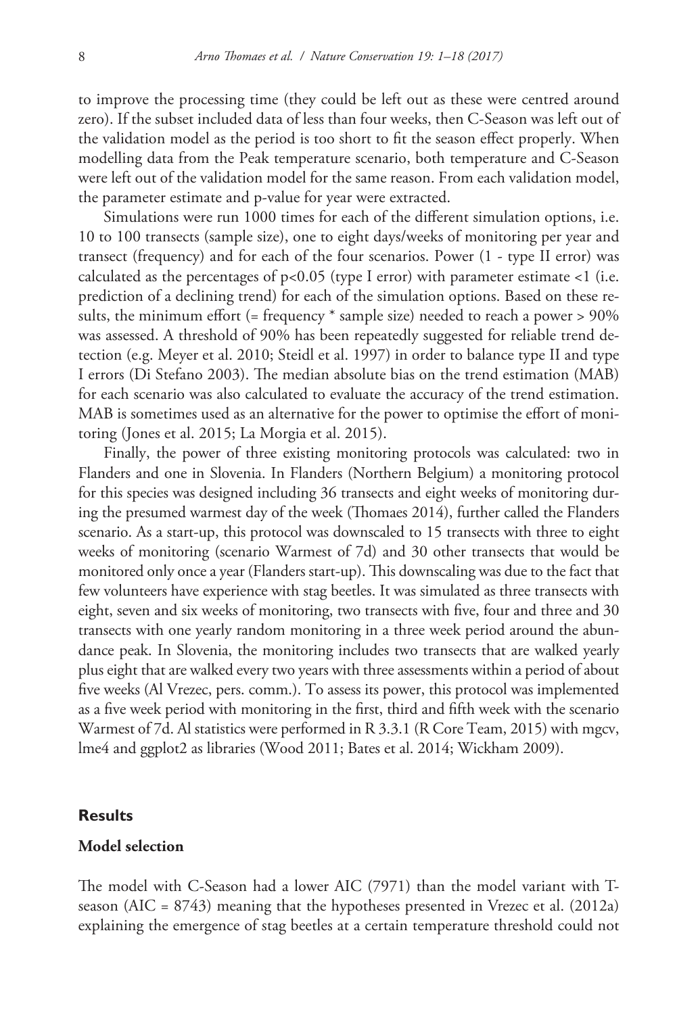to improve the processing time (they could be left out as these were centred around zero). If the subset included data of less than four weeks, then C-Season was left out of the validation model as the period is too short to fit the season effect properly. When modelling data from the Peak temperature scenario, both temperature and C-Season were left out of the validation model for the same reason. From each validation model, the parameter estimate and p-value for year were extracted.

Simulations were run 1000 times for each of the different simulation options, i.e. 10 to 100 transects (sample size), one to eight days/weeks of monitoring per year and transect (frequency) and for each of the four scenarios. Power (1 - type II error) was calculated as the percentages of  $p<0.05$  (type I error) with parameter estimate  $<1$  (i.e. prediction of a declining trend) for each of the simulation options. Based on these results, the minimum effort (= frequency \* sample size) needed to reach a power > 90% was assessed. A threshold of 90% has been repeatedly suggested for reliable trend detection (e.g. Meyer et al. 2010; Steidl et al. 1997) in order to balance type II and type I errors (Di Stefano 2003). The median absolute bias on the trend estimation (MAB) for each scenario was also calculated to evaluate the accuracy of the trend estimation. MAB is sometimes used as an alternative for the power to optimise the effort of monitoring (Jones et al. 2015; La Morgia et al. 2015).

Finally, the power of three existing monitoring protocols was calculated: two in Flanders and one in Slovenia. In Flanders (Northern Belgium) a monitoring protocol for this species was designed including 36 transects and eight weeks of monitoring during the presumed warmest day of the week (Thomaes 2014), further called the Flanders scenario. As a start-up, this protocol was downscaled to 15 transects with three to eight weeks of monitoring (scenario Warmest of 7d) and 30 other transects that would be monitored only once a year (Flanders start-up). This downscaling was due to the fact that few volunteers have experience with stag beetles. It was simulated as three transects with eight, seven and six weeks of monitoring, two transects with five, four and three and 30 transects with one yearly random monitoring in a three week period around the abundance peak. In Slovenia, the monitoring includes two transects that are walked yearly plus eight that are walked every two years with three assessments within a period of about five weeks (Al Vrezec, pers. comm.). To assess its power, this protocol was implemented as a five week period with monitoring in the first, third and fifth week with the scenario Warmest of 7d. Al statistics were performed in R 3.3.1 (R Core Team, 2015) with mgcv, lme4 and ggplot2 as libraries (Wood 2011; Bates et al. 2014; Wickham 2009).

### **Results**

### **Model selection**

The model with C-Season had a lower AIC (7971) than the model variant with Tseason (AIC = 8743) meaning that the hypotheses presented in Vrezec et al. (2012a) explaining the emergence of stag beetles at a certain temperature threshold could not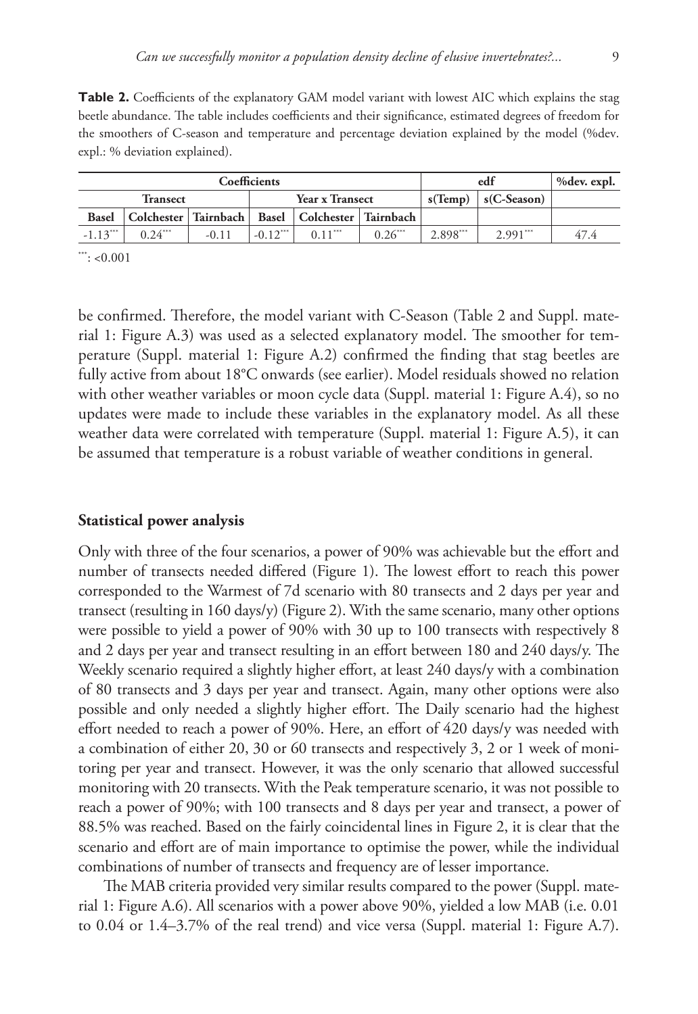**Table 2.** Coefficients of the explanatory GAM model variant with lowest AIC which explains the stag beetle abundance. The table includes coefficients and their significance, estimated degrees of freedom for the smoothers of C-season and temperature and percentage deviation explained by the model (%dev. expl.: % deviation explained).

|                 |           | Coefficients | edf                    | %dev. expl.                                                     |           |            |                           |      |
|-----------------|-----------|--------------|------------------------|-----------------------------------------------------------------|-----------|------------|---------------------------|------|
| <b>Transect</b> |           |              |                        | <b>Year x Transect</b>                                          |           |            | $s(Temp)$ $ s(C-Season) $ |      |
|                 |           |              |                        | Basel   Colchester   Tairnbach   Basel   Colchester   Tairnbach |           |            |                           |      |
| $-1.13***$      | $0.24***$ | $-0.11$      | $-0.12$ <sup>***</sup> | $0.11***$                                                       | $0.26***$ | $2.898***$ | $2.991***$                | 47.4 |

 $***: < 0.001$ 

be confirmed. Therefore, the model variant with C-Season (Table 2 and Suppl. material 1: Figure A.3) was used as a selected explanatory model. The smoother for temperature (Suppl. material 1: Figure A.2) confirmed the finding that stag beetles are fully active from about 18°C onwards (see earlier). Model residuals showed no relation with other weather variables or moon cycle data (Suppl. material 1: Figure A.4), so no updates were made to include these variables in the explanatory model. As all these weather data were correlated with temperature (Suppl. material 1: Figure A.5), it can be assumed that temperature is a robust variable of weather conditions in general.

#### **Statistical power analysis**

Only with three of the four scenarios, a power of 90% was achievable but the effort and number of transects needed differed (Figure 1). The lowest effort to reach this power corresponded to the Warmest of 7d scenario with 80 transects and 2 days per year and transect (resulting in 160 days/y) (Figure 2). With the same scenario, many other options were possible to yield a power of 90% with 30 up to 100 transects with respectively 8 and 2 days per year and transect resulting in an effort between 180 and 240 days/y. The Weekly scenario required a slightly higher effort, at least 240 days/y with a combination of 80 transects and 3 days per year and transect. Again, many other options were also possible and only needed a slightly higher effort. The Daily scenario had the highest effort needed to reach a power of 90%. Here, an effort of 420 days/y was needed with a combination of either 20, 30 or 60 transects and respectively 3, 2 or 1 week of monitoring per year and transect. However, it was the only scenario that allowed successful monitoring with 20 transects. With the Peak temperature scenario, it was not possible to reach a power of 90%; with 100 transects and 8 days per year and transect, a power of 88.5% was reached. Based on the fairly coincidental lines in Figure 2, it is clear that the scenario and effort are of main importance to optimise the power, while the individual combinations of number of transects and frequency are of lesser importance.

The MAB criteria provided very similar results compared to the power (Suppl. material 1: Figure A.6). All scenarios with a power above 90%, yielded a low MAB (i.e. 0.01 to 0.04 or 1.4–3.7% of the real trend) and vice versa (Suppl. material 1: Figure A.7).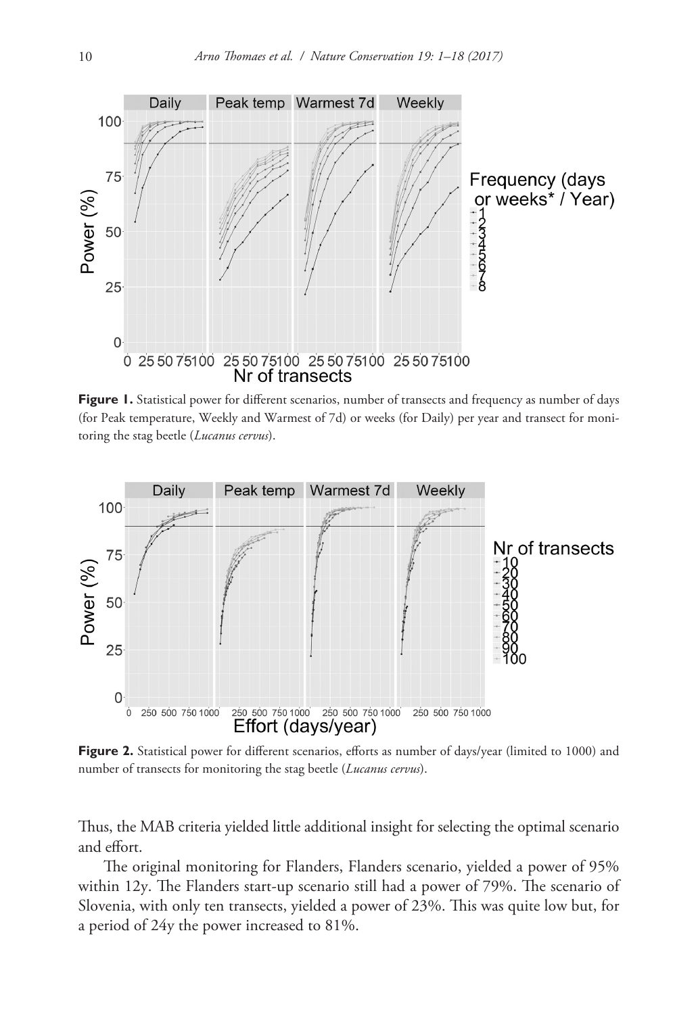

Figure 1. Statistical power for different scenarios, number of transects and frequency as number of days (for Peak temperature, Weekly and Warmest of 7d) or weeks (for Daily) per year and transect for monitoring the stag beetle (*Lucanus cervus*).



Figure 2. Statistical power for different scenarios, efforts as number of days/year (limited to 1000) and number of transects for monitoring the stag beetle (*Lucanus cervus*).

Thus, the MAB criteria yielded little additional insight for selecting the optimal scenario and effort.

The original monitoring for Flanders, Flanders scenario, yielded a power of 95% within 12y. The Flanders start-up scenario still had a power of 79%. The scenario of Slovenia, with only ten transects, yielded a power of 23%. This was quite low but, for a period of 24y the power increased to 81%.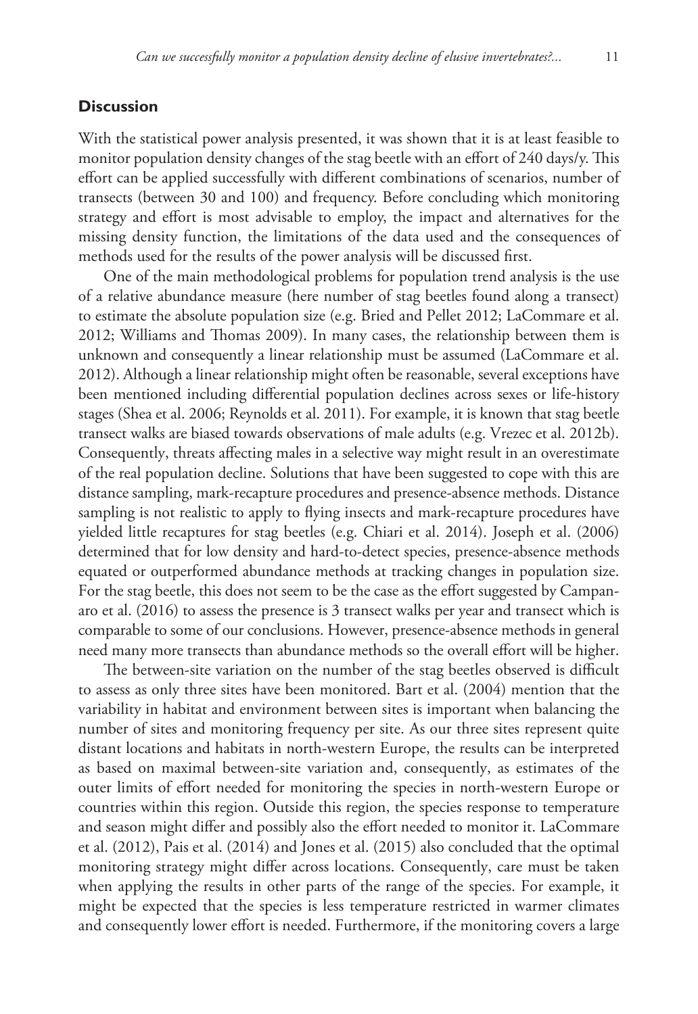#### **Discussion**

With the statistical power analysis presented, it was shown that it is at least feasible to monitor population density changes of the stag beetle with an effort of 240 days/y. This effort can be applied successfully with different combinations of scenarios, number of transects (between 30 and 100) and frequency. Before concluding which monitoring strategy and effort is most advisable to employ, the impact and alternatives for the missing density function, the limitations of the data used and the consequences of methods used for the results of the power analysis will be discussed first.

One of the main methodological problems for population trend analysis is the use of a relative abundance measure (here number of stag beetles found along a transect) to estimate the absolute population size (e.g. Bried and Pellet 2012; LaCommare et al. 2012; Williams and Thomas 2009). In many cases, the relationship between them is unknown and consequently a linear relationship must be assumed (LaCommare et al. 2012). Although a linear relationship might often be reasonable, several exceptions have been mentioned including differential population declines across sexes or life-history stages (Shea et al. 2006; Reynolds et al. 2011). For example, it is known that stag beetle transect walks are biased towards observations of male adults (e.g. Vrezec et al. 2012b). Consequently, threats affecting males in a selective way might result in an overestimate of the real population decline. Solutions that have been suggested to cope with this are distance sampling, mark-recapture procedures and presence-absence methods. Distance sampling is not realistic to apply to flying insects and mark-recapture procedures have yielded little recaptures for stag beetles (e.g. Chiari et al. 2014). Joseph et al. (2006) determined that for low density and hard-to-detect species, presence-absence methods equated or outperformed abundance methods at tracking changes in population size. For the stag beetle, this does not seem to be the case as the effort suggested by Campanaro et al. (2016) to assess the presence is 3 transect walks per year and transect which is comparable to some of our conclusions. However, presence-absence methods in general need many more transects than abundance methods so the overall effort will be higher.

The between-site variation on the number of the stag beetles observed is difficult to assess as only three sites have been monitored. Bart et al. (2004) mention that the variability in habitat and environment between sites is important when balancing the number of sites and monitoring frequency per site. As our three sites represent quite distant locations and habitats in north-western Europe, the results can be interpreted as based on maximal between-site variation and, consequently, as estimates of the outer limits of effort needed for monitoring the species in north-western Europe or countries within this region. Outside this region, the species response to temperature and season might differ and possibly also the effort needed to monitor it. LaCommare et al. (2012), Pais et al. (2014) and Jones et al. (2015) also concluded that the optimal monitoring strategy might differ across locations. Consequently, care must be taken when applying the results in other parts of the range of the species. For example, it might be expected that the species is less temperature restricted in warmer climates and consequently lower effort is needed. Furthermore, if the monitoring covers a large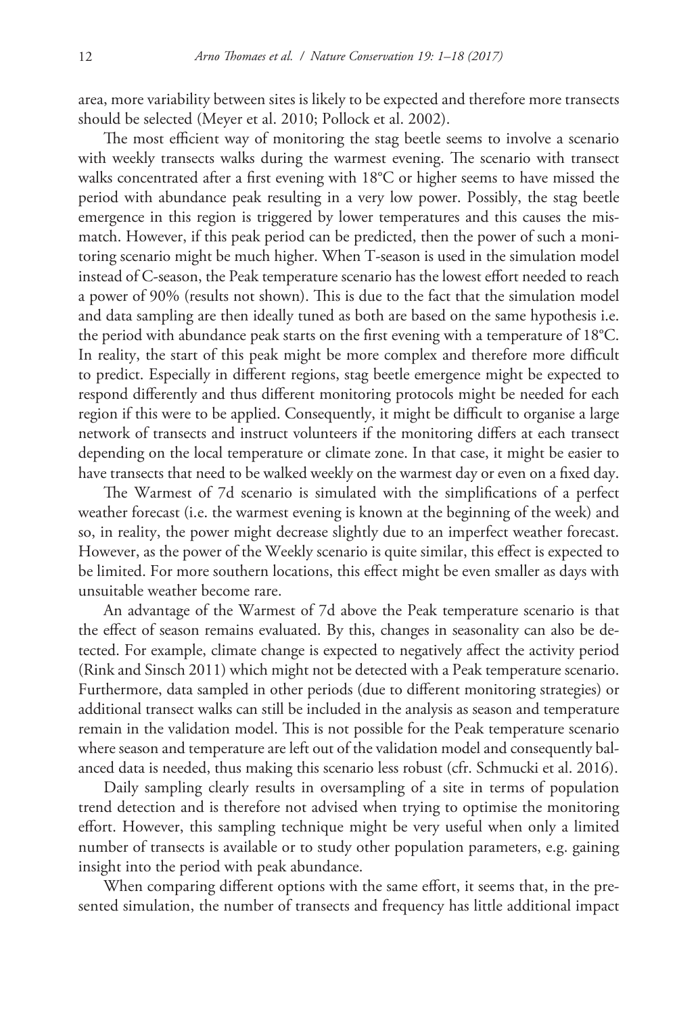area, more variability between sites is likely to be expected and therefore more transects should be selected (Meyer et al. 2010; Pollock et al. 2002).

The most efficient way of monitoring the stag beetle seems to involve a scenario with weekly transects walks during the warmest evening. The scenario with transect walks concentrated after a first evening with 18°C or higher seems to have missed the period with abundance peak resulting in a very low power. Possibly, the stag beetle emergence in this region is triggered by lower temperatures and this causes the mismatch. However, if this peak period can be predicted, then the power of such a monitoring scenario might be much higher. When T-season is used in the simulation model instead of C-season, the Peak temperature scenario has the lowest effort needed to reach a power of 90% (results not shown). This is due to the fact that the simulation model and data sampling are then ideally tuned as both are based on the same hypothesis i.e. the period with abundance peak starts on the first evening with a temperature of 18°C. In reality, the start of this peak might be more complex and therefore more difficult to predict. Especially in different regions, stag beetle emergence might be expected to respond differently and thus different monitoring protocols might be needed for each region if this were to be applied. Consequently, it might be difficult to organise a large network of transects and instruct volunteers if the monitoring differs at each transect depending on the local temperature or climate zone. In that case, it might be easier to have transects that need to be walked weekly on the warmest day or even on a fixed day.

The Warmest of 7d scenario is simulated with the simplifications of a perfect weather forecast (i.e. the warmest evening is known at the beginning of the week) and so, in reality, the power might decrease slightly due to an imperfect weather forecast. However, as the power of the Weekly scenario is quite similar, this effect is expected to be limited. For more southern locations, this effect might be even smaller as days with unsuitable weather become rare.

An advantage of the Warmest of 7d above the Peak temperature scenario is that the effect of season remains evaluated. By this, changes in seasonality can also be detected. For example, climate change is expected to negatively affect the activity period (Rink and Sinsch 2011) which might not be detected with a Peak temperature scenario. Furthermore, data sampled in other periods (due to different monitoring strategies) or additional transect walks can still be included in the analysis as season and temperature remain in the validation model. This is not possible for the Peak temperature scenario where season and temperature are left out of the validation model and consequently balanced data is needed, thus making this scenario less robust (cfr. Schmucki et al. 2016).

Daily sampling clearly results in oversampling of a site in terms of population trend detection and is therefore not advised when trying to optimise the monitoring effort. However, this sampling technique might be very useful when only a limited number of transects is available or to study other population parameters, e.g. gaining insight into the period with peak abundance.

When comparing different options with the same effort, it seems that, in the presented simulation, the number of transects and frequency has little additional impact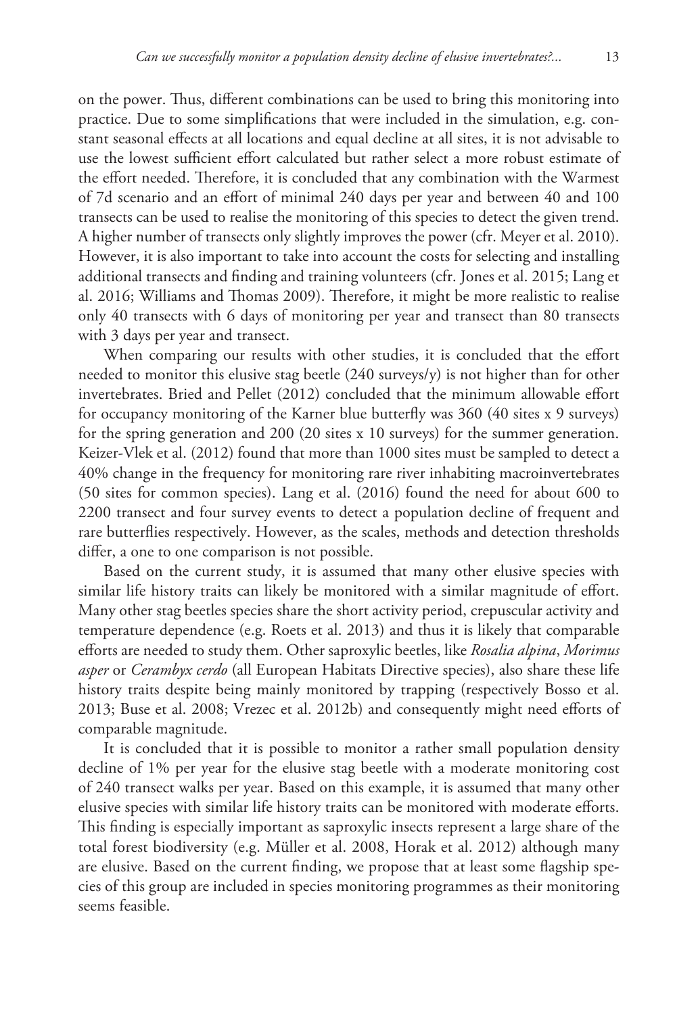on the power. Thus, different combinations can be used to bring this monitoring into practice. Due to some simplifications that were included in the simulation, e.g. constant seasonal effects at all locations and equal decline at all sites, it is not advisable to use the lowest sufficient effort calculated but rather select a more robust estimate of the effort needed. Therefore, it is concluded that any combination with the Warmest of 7d scenario and an effort of minimal 240 days per year and between 40 and 100 transects can be used to realise the monitoring of this species to detect the given trend. A higher number of transects only slightly improves the power (cfr. Meyer et al. 2010). However, it is also important to take into account the costs for selecting and installing additional transects and finding and training volunteers (cfr. Jones et al. 2015; Lang et al. 2016; Williams and Thomas 2009). Therefore, it might be more realistic to realise only 40 transects with 6 days of monitoring per year and transect than 80 transects with 3 days per year and transect.

When comparing our results with other studies, it is concluded that the effort needed to monitor this elusive stag beetle (240 surveys/y) is not higher than for other invertebrates. Bried and Pellet (2012) concluded that the minimum allowable effort for occupancy monitoring of the Karner blue butterfly was 360 (40 sites x 9 surveys) for the spring generation and 200 (20 sites x 10 surveys) for the summer generation. Keizer-Vlek et al. (2012) found that more than 1000 sites must be sampled to detect a 40% change in the frequency for monitoring rare river inhabiting macroinvertebrates (50 sites for common species). Lang et al. (2016) found the need for about 600 to 2200 transect and four survey events to detect a population decline of frequent and rare butterflies respectively. However, as the scales, methods and detection thresholds differ, a one to one comparison is not possible.

Based on the current study, it is assumed that many other elusive species with similar life history traits can likely be monitored with a similar magnitude of effort. Many other stag beetles species share the short activity period, crepuscular activity and temperature dependence (e.g. Roets et al. 2013) and thus it is likely that comparable efforts are needed to study them. Other saproxylic beetles, like *Rosalia alpina*, *Morimus asper* or *Cerambyx cerdo* (all European Habitats Directive species), also share these life history traits despite being mainly monitored by trapping (respectively Bosso et al. 2013; Buse et al. 2008; Vrezec et al. 2012b) and consequently might need efforts of comparable magnitude.

It is concluded that it is possible to monitor a rather small population density decline of 1% per year for the elusive stag beetle with a moderate monitoring cost of 240 transect walks per year. Based on this example, it is assumed that many other elusive species with similar life history traits can be monitored with moderate efforts. This finding is especially important as saproxylic insects represent a large share of the total forest biodiversity (e.g. Müller et al. 2008, Horak et al. 2012) although many are elusive. Based on the current finding, we propose that at least some flagship species of this group are included in species monitoring programmes as their monitoring seems feasible.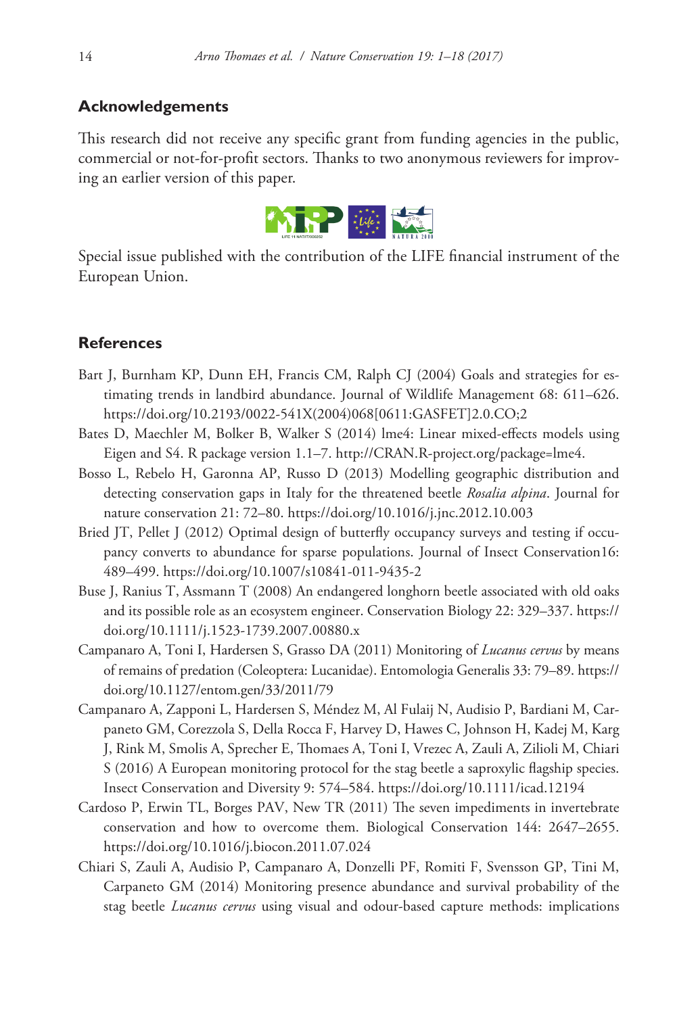### **Acknowledgements**

This research did not receive any specific grant from funding agencies in the public, commercial or not-for-profit sectors. Thanks to two anonymous reviewers for improving an earlier version of this paper.



Special issue published with the contribution of the LIFE financial instrument of the European Union.

#### **References**

- Bart J, Burnham KP, Dunn EH, Francis CM, Ralph CJ (2004) Goals and strategies for estimating trends in landbird abundance. Journal of Wildlife Management 68: 611–626. [https://doi.org/10.2193/0022-541X\(2004\)068\[0611:GASFET\]2.0.CO;2](https://doi.org/10.2193/0022-541X(2004)068%5B0611:GASFET%5D2.0.CO;2)
- Bates D, Maechler M, Bolker B, Walker S (2014) lme4: Linear mixed-effects models using Eigen and S4. R package version 1.1–7.<http://CRAN.R-project.org/package=lme4>.
- Bosso L, Rebelo H, Garonna AP, Russo D (2013) Modelling geographic distribution and detecting conservation gaps in Italy for the threatened beetle *Rosalia alpina*. Journal for nature conservation 21: 72–80. <https://doi.org/10.1016/j.jnc.2012.10.003>
- Bried JT, Pellet J (2012) Optimal design of butterfly occupancy surveys and testing if occupancy converts to abundance for sparse populations. Journal of Insect Conservation16: 489–499.<https://doi.org/10.1007/s10841-011-9435-2>
- Buse J, Ranius T, Assmann T (2008) An endangered longhorn beetle associated with old oaks and its possible role as an ecosystem engineer. Conservation Biology 22: 329–337. [https://](https://doi.org/10.1111/j.1523-1739.2007.00880.x) [doi.org/10.1111/j.1523-1739.2007.00880.x](https://doi.org/10.1111/j.1523-1739.2007.00880.x)
- Campanaro A, Toni I, Hardersen S, Grasso DA (2011) Monitoring of *Lucanus cervus* by means of remains of predation (Coleoptera: Lucanidae). Entomologia Generalis 33: 79–89. [https://](https://doi.org/10.1127/entom.gen/33/2011/79) [doi.org/10.1127/entom.gen/33/2011/79](https://doi.org/10.1127/entom.gen/33/2011/79)
- Campanaro A, Zapponi L, Hardersen S, Méndez M, Al Fulaij N, Audisio P, Bardiani M, Carpaneto GM, Corezzola S, Della Rocca F, Harvey D, Hawes C, Johnson H, Kadej M, Karg J, Rink M, Smolis A, Sprecher E, Thomaes A, Toni I, Vrezec A, Zauli A, Zilioli M, Chiari S (2016) A European monitoring protocol for the stag beetle a saproxylic flagship species. Insect Conservation and Diversity 9: 574–584. <https://doi.org/10.1111/icad.12194>
- Cardoso P, Erwin TL, Borges PAV, New TR (2011) The seven impediments in invertebrate conservation and how to overcome them. Biological Conservation 144: 2647–2655. <https://doi.org/10.1016/j.biocon.2011.07.024>
- Chiari S, Zauli A, Audisio P, Campanaro A, Donzelli PF, Romiti F, Svensson GP, Tini M, Carpaneto GM (2014) Monitoring presence abundance and survival probability of the stag beetle *Lucanus cervus* using visual and odour-based capture methods: implications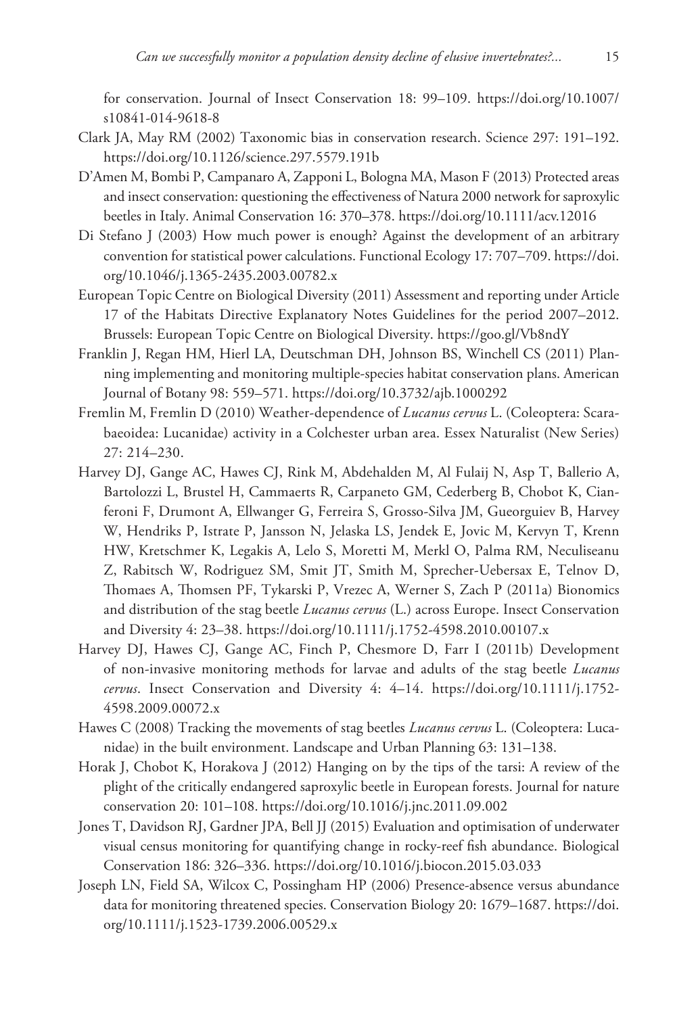for conservation. Journal of Insect Conservation 18: 99–109. [https://doi.org/10.1007/](https://doi.org/10.1007/s10841-014-9618-8) [s10841-014-9618-8](https://doi.org/10.1007/s10841-014-9618-8)

- Clark JA, May RM (2002) Taxonomic bias in conservation research. Science 297: 191–192. <https://doi.org/10.1126/science.297.5579.191b>
- D'Amen M, Bombi P, Campanaro A, Zapponi L, Bologna MA, Mason F (2013) Protected areas and insect conservation: questioning the effectiveness of Natura 2000 network for saproxylic beetles in Italy. Animal Conservation 16: 370–378.<https://doi.org/10.1111/acv.12016>
- Di Stefano J (2003) How much power is enough? Against the development of an arbitrary convention for statistical power calculations. Functional Ecology 17: 707–709. [https://doi.](https://doi.org/10.1046/j.1365-2435.2003.00782.x) [org/10.1046/j.1365-2435.2003.00782.x](https://doi.org/10.1046/j.1365-2435.2003.00782.x)
- European Topic Centre on Biological Diversity (2011) Assessment and reporting under Article 17 of the Habitats Directive Explanatory Notes Guidelines for the period 2007–2012. Brussels: European Topic Centre on Biological Diversity.<https://goo.gl/Vb8ndY>
- Franklin J, Regan HM, Hierl LA, Deutschman DH, Johnson BS, Winchell CS (2011) Planning implementing and monitoring multiple-species habitat conservation plans. American Journal of Botany 98: 559–571. <https://doi.org/10.3732/ajb.1000292>
- Fremlin M, Fremlin D (2010) Weather-dependence of *Lucanus cervus* L. (Coleoptera: Scarabaeoidea: Lucanidae) activity in a Colchester urban area. Essex Naturalist (New Series) 27: 214–230.
- Harvey DJ, Gange AC, Hawes CJ, Rink M, Abdehalden M, Al Fulaij N, Asp T, Ballerio A, Bartolozzi L, Brustel H, Cammaerts R, Carpaneto GM, Cederberg B, Chobot K, Cianferoni F, Drumont A, Ellwanger G, Ferreira S, Grosso-Silva JM, Gueorguiev B, Harvey W, Hendriks P, Istrate P, Jansson N, Jelaska LS, Jendek E, Jovic M, Kervyn T, Krenn HW, Kretschmer K, Legakis A, Lelo S, Moretti M, Merkl O, Palma RM, Neculiseanu Z, Rabitsch W, Rodriguez SM, Smit JT, Smith M, Sprecher-Uebersax E, Telnov D, Thomaes A, Thomsen PF, Tykarski P, Vrezec A, Werner S, Zach P (2011a) Bionomics and distribution of the stag beetle *Lucanus cervus* (L.) across Europe. Insect Conservation and Diversity 4: 23–38.<https://doi.org/10.1111/j.1752-4598.2010.00107.x>
- Harvey DJ, Hawes CJ, Gange AC, Finch P, Chesmore D, Farr I (2011b) Development of non-invasive monitoring methods for larvae and adults of the stag beetle *Lucanus cervus*. Insect Conservation and Diversity 4: 4–14. [https://doi.org/10.1111/j.1752-](https://doi.org/10.1111/j.1752-4598.2009.00072.x) [4598.2009.00072.x](https://doi.org/10.1111/j.1752-4598.2009.00072.x)
- Hawes C (2008) Tracking the movements of stag beetles *Lucanus cervus* L. (Coleoptera: Lucanidae) in the built environment. Landscape and Urban Planning 63: 131–138.
- Horak J, Chobot K, Horakova J (2012) Hanging on by the tips of the tarsi: A review of the plight of the critically endangered saproxylic beetle in European forests. Journal for nature conservation 20: 101–108. <https://doi.org/10.1016/j.jnc.2011.09.002>
- Jones T, Davidson RJ, Gardner JPA, Bell JJ (2015) Evaluation and optimisation of underwater visual census monitoring for quantifying change in rocky-reef fish abundance. Biological Conservation 186: 326–336. <https://doi.org/10.1016/j.biocon.2015.03.033>
- Joseph LN, Field SA, Wilcox C, Possingham HP (2006) Presence-absence versus abundance data for monitoring threatened species. Conservation Biology 20: 1679–1687. [https://doi.](https://doi.org/10.1111/j.1523-1739.2006.00529.x) [org/10.1111/j.1523-1739.2006.00529.x](https://doi.org/10.1111/j.1523-1739.2006.00529.x)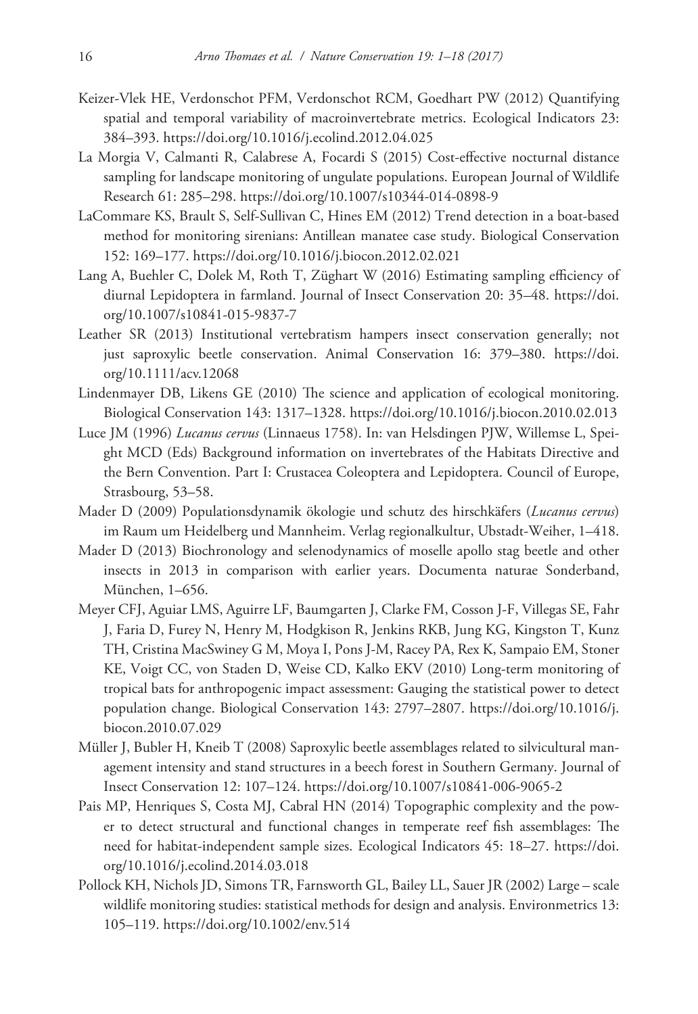- Keizer-Vlek HE, Verdonschot PFM, Verdonschot RCM, Goedhart PW (2012) Quantifying spatial and temporal variability of macroinvertebrate metrics. Ecological Indicators 23: 384–393.<https://doi.org/10.1016/j.ecolind.2012.04.025>
- La Morgia V, Calmanti R, Calabrese A, Focardi S (2015) Cost-effective nocturnal distance sampling for landscape monitoring of ungulate populations. European Journal of Wildlife Research 61: 285–298.<https://doi.org/10.1007/s10344-014-0898-9>
- LaCommare KS, Brault S, Self-Sullivan C, Hines EM (2012) Trend detection in a boat-based method for monitoring sirenians: Antillean manatee case study. Biological Conservation 152: 169–177.<https://doi.org/10.1016/j.biocon.2012.02.021>
- Lang A, Buehler C, Dolek M, Roth T, Züghart W (2016) Estimating sampling efficiency of diurnal Lepidoptera in farmland. Journal of Insect Conservation 20: 35–48. [https://doi.](https://doi.org/10.1007/s10841-015-9837-7) [org/10.1007/s10841-015-9837-7](https://doi.org/10.1007/s10841-015-9837-7)
- Leather SR (2013) Institutional vertebratism hampers insect conservation generally; not just saproxylic beetle conservation. Animal Conservation 16: 379–380. [https://doi.](https://doi.org/10.1111/acv.12068) [org/10.1111/acv.12068](https://doi.org/10.1111/acv.12068)
- Lindenmayer DB, Likens GE (2010) The science and application of ecological monitoring. Biological Conservation 143: 1317–1328.<https://doi.org/10.1016/j.biocon.2010.02.013>
- Luce JM (1996) *Lucanus cervus* (Linnaeus 1758). In: van Helsdingen PJW, Willemse L, Speight MCD (Eds) Background information on invertebrates of the Habitats Directive and the Bern Convention. Part I: Crustacea Coleoptera and Lepidoptera. Council of Europe, Strasbourg, 53–58.
- Mader D (2009) Populationsdynamik ökologie und schutz des hirschkäfers (*Lucanus cervus*) im Raum um Heidelberg und Mannheim. Verlag regionalkultur, Ubstadt-Weiher, 1–418.
- Mader D (2013) Biochronology and selenodynamics of moselle apollo stag beetle and other insects in 2013 in comparison with earlier years. Documenta naturae Sonderband, München, 1–656.
- Meyer CFJ, Aguiar LMS, Aguirre LF, Baumgarten J, Clarke FM, Cosson J-F, Villegas SE, Fahr J, Faria D, Furey N, Henry M, Hodgkison R, Jenkins RKB, Jung KG, Kingston T, Kunz TH, Cristina MacSwiney G M, Moya I, Pons J-M, Racey PA, Rex K, Sampaio EM, Stoner KE, Voigt CC, von Staden D, Weise CD, Kalko EKV (2010) Long-term monitoring of tropical bats for anthropogenic impact assessment: Gauging the statistical power to detect population change. Biological Conservation 143: 2797–2807. [https://doi.org/10.1016/j.](https://doi.org/10.1016/j.biocon.2010.07.029) [biocon.2010.07.029](https://doi.org/10.1016/j.biocon.2010.07.029)
- Müller J, Bubler H, Kneib T (2008) Saproxylic beetle assemblages related to silvicultural management intensity and stand structures in a beech forest in Southern Germany. Journal of Insect Conservation 12: 107–124.<https://doi.org/10.1007/s10841-006-9065-2>
- Pais MP, Henriques S, Costa MJ, Cabral HN (2014) Topographic complexity and the power to detect structural and functional changes in temperate reef fish assemblages: The need for habitat-independent sample sizes. Ecological Indicators 45: 18–27. [https://doi.](https://doi.org/10.1016/j.ecolind.2014.03.018) [org/10.1016/j.ecolind.2014.03.018](https://doi.org/10.1016/j.ecolind.2014.03.018)
- Pollock KH, Nichols JD, Simons TR, Farnsworth GL, Bailey LL, Sauer JR (2002) Large scale wildlife monitoring studies: statistical methods for design and analysis. Environmetrics 13: 105–119.<https://doi.org/10.1002/env.514>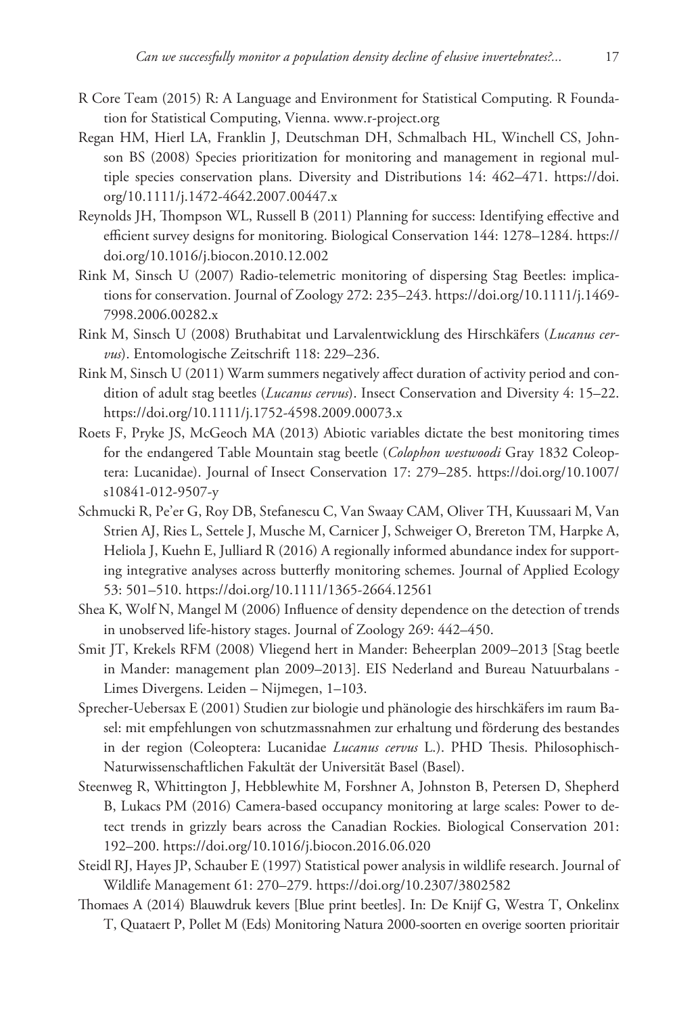- R Core Team (2015) R: A Language and Environment for Statistical Computing. R Foundation for Statistical Computing, Vienna. [www.r-project.org](http://www.r-project.org)
- Regan HM, Hierl LA, Franklin J, Deutschman DH, Schmalbach HL, Winchell CS, Johnson BS (2008) Species prioritization for monitoring and management in regional multiple species conservation plans. Diversity and Distributions 14: 462–471. [https://doi.](https://doi.org/10.1111/j.1472-4642.2007.00447.x) [org/10.1111/j.1472-4642.2007.00447.x](https://doi.org/10.1111/j.1472-4642.2007.00447.x)
- Reynolds JH, Thompson WL, Russell B (2011) Planning for success: Identifying effective and efficient survey designs for monitoring. Biological Conservation 144: 1278–1284. [https://](https://doi.org/10.1016/j.biocon.2010.12.002) [doi.org/10.1016/j.biocon.2010.12.002](https://doi.org/10.1016/j.biocon.2010.12.002)
- Rink M, Sinsch U (2007) Radio-telemetric monitoring of dispersing Stag Beetles: implications for conservation. Journal of Zoology 272: 235–243. [https://doi.org/10.1111/j.1469-](https://doi.org/10.1111/j.1469-7998.2006.00282.x) [7998.2006.00282.x](https://doi.org/10.1111/j.1469-7998.2006.00282.x)
- Rink M, Sinsch U (2008) Bruthabitat und Larvalentwicklung des Hirschkäfers (*Lucanus cervus*). Entomologische Zeitschrift 118: 229–236.
- Rink M, Sinsch U (2011) Warm summers negatively affect duration of activity period and condition of adult stag beetles (*Lucanus cervus*). Insect Conservation and Diversity 4: 15–22. <https://doi.org/10.1111/j.1752-4598.2009.00073.x>
- Roets F, Pryke JS, McGeoch MA (2013) Abiotic variables dictate the best monitoring times for the endangered Table Mountain stag beetle (*Colophon westwoodi* Gray 1832 Coleoptera: Lucanidae). Journal of Insect Conservation 17: 279–285. [https://doi.org/10.1007/](https://doi.org/10.1007/s10841-012-9507-y) [s10841-012-9507-y](https://doi.org/10.1007/s10841-012-9507-y)
- Schmucki R, Pe'er G, Roy DB, Stefanescu C, Van Swaay CAM, Oliver TH, Kuussaari M, Van Strien AJ, Ries L, Settele J, Musche M, Carnicer J, Schweiger O, Brereton TM, Harpke A, Heliola J, Kuehn E, Julliard R (2016) A regionally informed abundance index for supporting integrative analyses across butterfly monitoring schemes. Journal of Applied Ecology 53: 501–510.<https://doi.org/10.1111/1365-2664.12561>
- Shea K, Wolf N, Mangel M (2006) Influence of density dependence on the detection of trends in unobserved life-history stages. Journal of Zoology 269: 442–450.
- Smit JT, Krekels RFM (2008) Vliegend hert in Mander: Beheerplan 2009–2013 [Stag beetle in Mander: management plan 2009–2013]. EIS Nederland and Bureau Natuurbalans - Limes Divergens. Leiden – Nijmegen, 1–103.
- Sprecher-Uebersax E (2001) Studien zur biologie und phänologie des hirschkäfers im raum Basel: mit empfehlungen von schutzmassnahmen zur erhaltung und förderung des bestandes in der region (Coleoptera: Lucanidae *Lucanus cervus* L.). PHD Thesis. Philosophisch-Naturwissenschaftlichen Fakultät der Universität Basel (Basel).
- Steenweg R, Whittington J, Hebblewhite M, Forshner A, Johnston B, Petersen D, Shepherd B, Lukacs PM (2016) Camera-based occupancy monitoring at large scales: Power to detect trends in grizzly bears across the Canadian Rockies. Biological Conservation 201: 192–200.<https://doi.org/10.1016/j.biocon.2016.06.020>
- Steidl RJ, Hayes JP, Schauber E (1997) Statistical power analysis in wildlife research. Journal of Wildlife Management 61: 270–279.<https://doi.org/10.2307/3802582>
- Thomaes A (2014) Blauwdruk kevers [Blue print beetles]. In: De Knijf G, Westra T, Onkelinx T, Quataert P, Pollet M (Eds) Monitoring Natura 2000-soorten en overige soorten prioritair